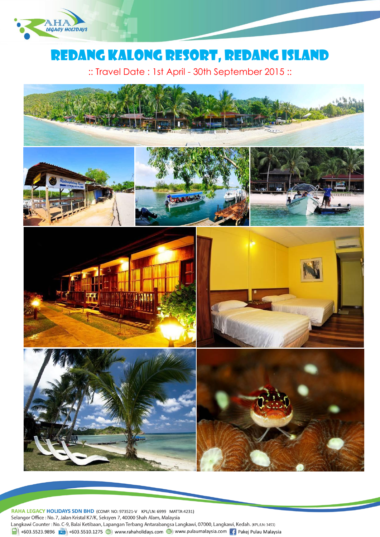

# REDANG Kalong RESORT, Redang Island

:: Travel Date : 1st April - 30th September 2015 ::



RAHA LEGACY HOLIDAYS SDN BHD (COMP. NO: 973521-V KPL/LN: 6999 MATTA:4231) Selangor Office: No. 7, Jalan Kristal K7/K, Seksyen 7, 40000 Shah Alam, Malaysia Langkawi Counter: No. C-9, Balai Ketibaan, Lapangan Terbang Antarabangsa Langkawi, 07000, Langkawi, Kedah. (KPL/LN: 3453)  $\frac{1}{\ln 1}$  +603.5523.9896  $\frac{1}{\ln 2}$  +603.5510.1275 (b) www.rahaholidays.com (b) www.pulaumalaysia.com  $\frac{1}{\ln 2}$  Pakej Pulau Malaysia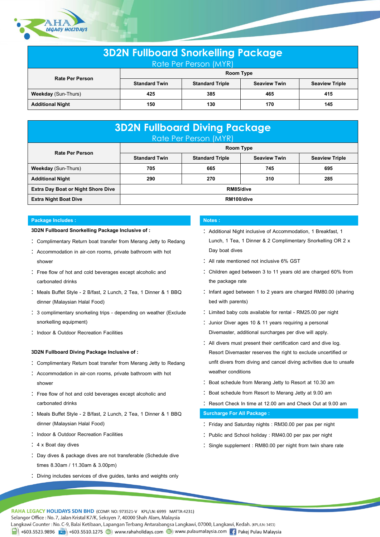

| <b>3D2N Fullboard Snorkelling Package</b><br>Rate Per Person (MYR) |                      |                        |                     |                       |  |  |
|--------------------------------------------------------------------|----------------------|------------------------|---------------------|-----------------------|--|--|
| <b>Rate Per Person</b>                                             | Room Type            |                        |                     |                       |  |  |
|                                                                    | <b>Standard Twin</b> | <b>Standard Triple</b> | <b>Seaview Twin</b> | <b>Seaview Triple</b> |  |  |
| <b>Weekday</b> (Sun-Thurs)                                         | 425                  | 385                    | 465                 | 415                   |  |  |
| <b>Additional Night</b>                                            | 150                  | 130                    | 170                 | 145                   |  |  |

| <b>3D2N Fullboard Diving Package</b><br>Rate Per Person (MYR) |                      |                        |                     |                       |  |  |
|---------------------------------------------------------------|----------------------|------------------------|---------------------|-----------------------|--|--|
| <b>Rate Per Person</b>                                        | <b>Room Type</b>     |                        |                     |                       |  |  |
|                                                               | <b>Standard Twin</b> | <b>Standard Triple</b> | <b>Seaview Twin</b> | <b>Seaview Triple</b> |  |  |
| <b>Weekday</b> (Sun-Thurs)                                    | 705                  | 665                    | 745                 | 695                   |  |  |
| <b>Additional Night</b>                                       | 290                  | 270                    | 310                 | 285                   |  |  |
| <b>Extra Day Boat or Night Shore Dive</b>                     | RM85/dive            |                        |                     |                       |  |  |
| <b>Extra Night Boat Dive</b>                                  | RM100/dive           |                        |                     |                       |  |  |

# **Package Includes : Notes : Notes : Notes :**

#### **3D2N Fullboard Snorkelling Package Inclusive of :**

- Complimentary Return boat transfer from Merang Jetty to Redang
- Accommodation in air-con rooms, private bathroom with hot shower
- Free flow of hot and cold beverages except alcoholic and carbonated drinks
- Meals Buffet Style 2 B/fast, 2 Lunch, 2 Tea, 1 Dinner & 1 BBQ dinner (Malaysian Halal Food)
- 3 complimentary snorkeling trips depending on weather (Exclude snorkelling equipment)
- : Indoor & Outdoor Recreation Facilities

## **3D2N Fullboard Diving Package Inclusive of :**

- Complimentary Return boat transfer from Merang Jetty to Redang
- : Accommodation in air-con rooms, private bathroom with hot shower
- Free flow of hot and cold beverages except alcoholic and carbonated drinks
- Meals Buffet Style 2 B/fast, 2 Lunch, 2 Tea, 1 Dinner & 1 BBQ dinner (Malaysian Halal Food)
- : Indoor & Outdoor Recreation Facilities
- : 4 x Boat day dives
- Day dives & package dives are not transferable (Schedule dive times 8.30am / 11.30am & 3.00pm)
- Diving includes services of dive guides, tanks and weights only

- Additional Night inclusive of Accommodation, 1 Breakfast, 1 Lunch, 1 Tea, 1 Dinner & 2 Complimentary Snorkelling OR 2 x Day boat dives
- All rate mentioned not inclusive 6% GST
- Children aged between 3 to 11 years old are charged 60% from the package rate
- Infant aged between 1 to 2 years are charged RM80.00 (sharing bed with parents)
- Limited baby cots available for rental RM25.00 per night
- : Junior Diver ages 10 & 11 years requiring a personal Divemaster, additional surcharges per dive will apply.
- All divers must present their certification card and dive log. Resort Divemaster reserves the right to exclude uncertified or unfit divers from diving and cancel diving activities due to unsafe weather conditions
- : Boat schedule from Merang Jetty to Resort at 10.30 am
- : Boat schedule from Resort to Merang Jetty at 9.00 am
- Resort Check In time at 12.00 am and Check Out at 9.00 am

#### **Surcharge For All Package :**

- Friday and Saturday nights : RM30.00 per pax per night
- : Public and School holiday : RM40.00 per pax per night
- Single supplement : RM80.00 per night from twin share rate

RAHA LEGACY HOLIDAYS SDN BHD (COMP. NO: 973521-V KPL/LN: 6999 MATTA:4231) Selangor Office: No. 7, Jalan Kristal K7/K, Seksyen 7, 40000 Shah Alam, Malaysia Langkawi Counter: No. C-9, Balai Ketibaan, Lapangan Terbang Antarabangsa Langkawi, 07000, Langkawi, Kedah. (KPL/LN: 3453) 4603.5523.9896 (1603.5510.1275 (1808) www.rahaholidays.com (1808) www.pulaumalaysia.com [16] Pakej Pulau Malaysia